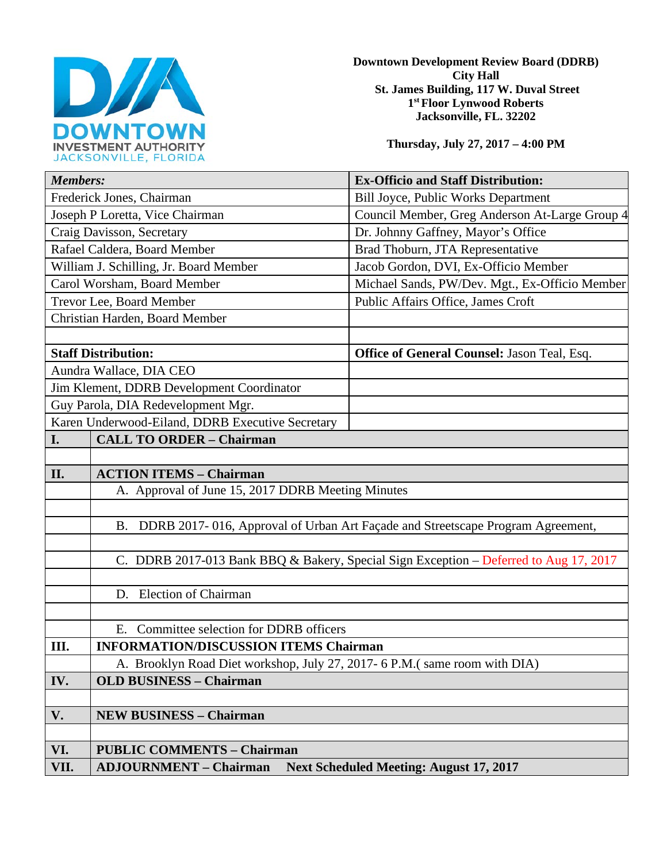

**Downtown Development Review Board (DDRB) City Hall St. James Building, 117 W. Duval Street 1st Floor Lynwood Roberts Jacksonville, FL. 32202** 

**Thursday, July 27, 2017 – 4:00 PM**

| <b>Members:</b>                                                                             | <b>Ex-Officio and Staff Distribution:</b>          |
|---------------------------------------------------------------------------------------------|----------------------------------------------------|
| Frederick Jones, Chairman                                                                   | Bill Joyce, Public Works Department                |
| Joseph P Loretta, Vice Chairman                                                             | Council Member, Greg Anderson At-Large Group 4     |
| Craig Davisson, Secretary                                                                   | Dr. Johnny Gaffney, Mayor's Office                 |
| Rafael Caldera, Board Member                                                                | Brad Thoburn, JTA Representative                   |
| William J. Schilling, Jr. Board Member                                                      | Jacob Gordon, DVI, Ex-Officio Member               |
| Carol Worsham, Board Member                                                                 | Michael Sands, PW/Dev. Mgt., Ex-Officio Member     |
| Trevor Lee, Board Member                                                                    | Public Affairs Office, James Croft                 |
| Christian Harden, Board Member                                                              |                                                    |
|                                                                                             |                                                    |
| <b>Staff Distribution:</b>                                                                  | <b>Office of General Counsel: Jason Teal, Esq.</b> |
| Aundra Wallace, DIA CEO                                                                     |                                                    |
| Jim Klement, DDRB Development Coordinator                                                   |                                                    |
| Guy Parola, DIA Redevelopment Mgr.                                                          |                                                    |
| Karen Underwood-Eiland, DDRB Executive Secretary                                            |                                                    |
| <b>CALL TO ORDER - Chairman</b><br>I.                                                       |                                                    |
|                                                                                             |                                                    |
| II.<br><b>ACTION ITEMS - Chairman</b>                                                       |                                                    |
| A. Approval of June 15, 2017 DDRB Meeting Minutes                                           |                                                    |
|                                                                                             |                                                    |
| DDRB 2017-016, Approval of Urban Art Façade and Streetscape Program Agreement,<br><b>B.</b> |                                                    |
|                                                                                             |                                                    |
| C. DDRB 2017-013 Bank BBQ & Bakery, Special Sign Exception - Deferred to Aug 17, 2017       |                                                    |
|                                                                                             |                                                    |
| D. Election of Chairman                                                                     |                                                    |
|                                                                                             |                                                    |
| E. Committee selection for DDRB officers                                                    |                                                    |
| Ш.<br><b>INFORMATION/DISCUSSION ITEMS Chairman</b>                                          |                                                    |
| A. Brooklyn Road Diet workshop, July 27, 2017- 6 P.M.(same room with DIA)                   |                                                    |
| IV.<br><b>OLD BUSINESS - Chairman</b>                                                       |                                                    |
|                                                                                             |                                                    |
| V.<br><b>NEW BUSINESS - Chairman</b>                                                        |                                                    |
|                                                                                             |                                                    |
| VI.<br><b>PUBLIC COMMENTS - Chairman</b>                                                    |                                                    |
| VII.<br><b>Next Scheduled Meeting: August 17, 2017</b><br><b>ADJOURNMENT - Chairman</b>     |                                                    |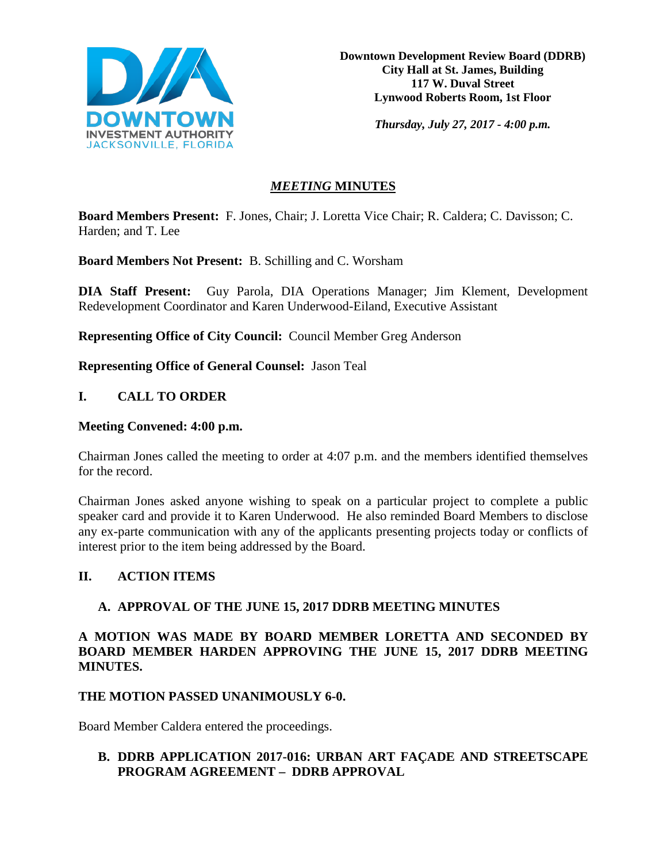

**Downtown Development Review Board (DDRB) City Hall at St. James, Building 117 W. Duval Street Lynwood Roberts Room, 1st Floor**

*Thursday, July 27, 2017 - 4:00 p.m.*

# *MEETING* **MINUTES**

**Board Members Present:** F. Jones, Chair; J. Loretta Vice Chair; R. Caldera; C. Davisson; C. Harden; and T. Lee

**Board Members Not Present:** B. Schilling and C. Worsham

**DIA Staff Present:** Guy Parola, DIA Operations Manager; Jim Klement, Development Redevelopment Coordinator and Karen Underwood-Eiland, Executive Assistant

**Representing Office of City Council:** Council Member Greg Anderson

**Representing Office of General Counsel:** Jason Teal

# **I. CALL TO ORDER**

### **Meeting Convened: 4:00 p.m.**

Chairman Jones called the meeting to order at 4:07 p.m. and the members identified themselves for the record.

Chairman Jones asked anyone wishing to speak on a particular project to complete a public speaker card and provide it to Karen Underwood. He also reminded Board Members to disclose any ex-parte communication with any of the applicants presenting projects today or conflicts of interest prior to the item being addressed by the Board.

### **II. ACTION ITEMS**

# **A. APPROVAL OF THE JUNE 15, 2017 DDRB MEETING MINUTES**

**A MOTION WAS MADE BY BOARD MEMBER LORETTA AND SECONDED BY BOARD MEMBER HARDEN APPROVING THE JUNE 15, 2017 DDRB MEETING MINUTES.** 

### **THE MOTION PASSED UNANIMOUSLY 6-0.**

Board Member Caldera entered the proceedings.

# **B. DDRB APPLICATION 2017-016: URBAN ART FAÇADE AND STREETSCAPE PROGRAM AGREEMENT – DDRB APPROVAL**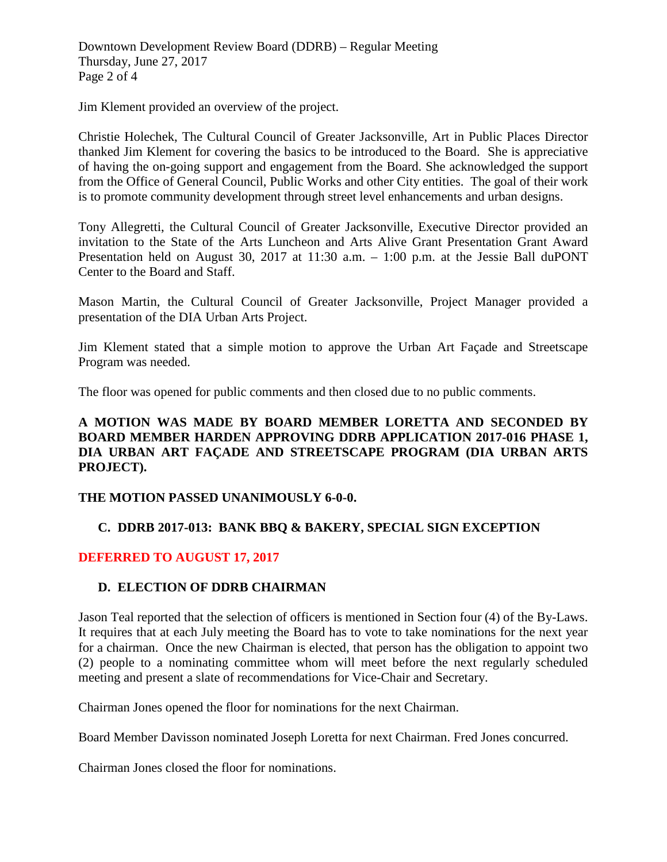Downtown Development Review Board (DDRB) – Regular Meeting Thursday, June 27, 2017 Page 2 of 4

Jim Klement provided an overview of the project.

Christie Holechek, The Cultural Council of Greater Jacksonville, Art in Public Places Director thanked Jim Klement for covering the basics to be introduced to the Board. She is appreciative of having the on-going support and engagement from the Board. She acknowledged the support from the Office of General Council, Public Works and other City entities. The goal of their work is to promote community development through street level enhancements and urban designs.

Tony Allegretti, the Cultural Council of Greater Jacksonville, Executive Director provided an invitation to the State of the Arts Luncheon and Arts Alive Grant Presentation Grant Award Presentation held on August 30, 2017 at 11:30 a.m. – 1:00 p.m. at the Jessie Ball duPONT Center to the Board and Staff.

Mason Martin, the Cultural Council of Greater Jacksonville, Project Manager provided a presentation of the DIA Urban Arts Project.

Jim Klement stated that a simple motion to approve the Urban Art Façade and Streetscape Program was needed.

The floor was opened for public comments and then closed due to no public comments.

### **A MOTION WAS MADE BY BOARD MEMBER LORETTA AND SECONDED BY BOARD MEMBER HARDEN APPROVING DDRB APPLICATION 2017-016 PHASE 1, DIA URBAN ART FAÇADE AND STREETSCAPE PROGRAM (DIA URBAN ARTS PROJECT).**

### **THE MOTION PASSED UNANIMOUSLY 6-0-0.**

# **C. DDRB 2017-013: BANK BBQ & BAKERY, SPECIAL SIGN EXCEPTION**

### **DEFERRED TO AUGUST 17, 2017**

### **D. ELECTION OF DDRB CHAIRMAN**

Jason Teal reported that the selection of officers is mentioned in Section four (4) of the By-Laws. It requires that at each July meeting the Board has to vote to take nominations for the next year for a chairman. Once the new Chairman is elected, that person has the obligation to appoint two (2) people to a nominating committee whom will meet before the next regularly scheduled meeting and present a slate of recommendations for Vice-Chair and Secretary.

Chairman Jones opened the floor for nominations for the next Chairman.

Board Member Davisson nominated Joseph Loretta for next Chairman. Fred Jones concurred.

Chairman Jones closed the floor for nominations.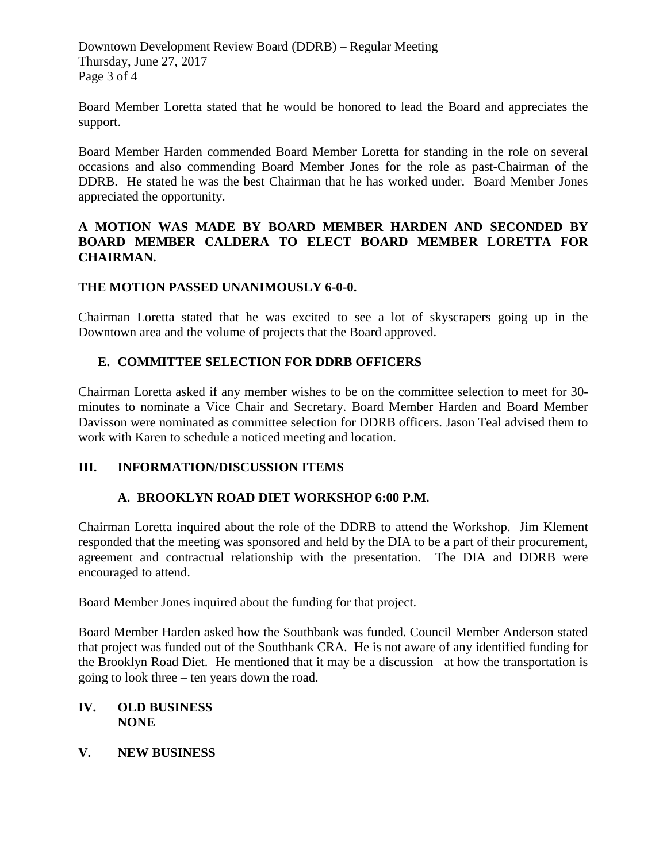Downtown Development Review Board (DDRB) – Regular Meeting Thursday, June 27, 2017 Page 3 of 4

Board Member Loretta stated that he would be honored to lead the Board and appreciates the support.

Board Member Harden commended Board Member Loretta for standing in the role on several occasions and also commending Board Member Jones for the role as past-Chairman of the DDRB. He stated he was the best Chairman that he has worked under. Board Member Jones appreciated the opportunity.

### **A MOTION WAS MADE BY BOARD MEMBER HARDEN AND SECONDED BY BOARD MEMBER CALDERA TO ELECT BOARD MEMBER LORETTA FOR CHAIRMAN.**

# **THE MOTION PASSED UNANIMOUSLY 6-0-0.**

Chairman Loretta stated that he was excited to see a lot of skyscrapers going up in the Downtown area and the volume of projects that the Board approved.

# **E. COMMITTEE SELECTION FOR DDRB OFFICERS**

Chairman Loretta asked if any member wishes to be on the committee selection to meet for 30 minutes to nominate a Vice Chair and Secretary. Board Member Harden and Board Member Davisson were nominated as committee selection for DDRB officers. Jason Teal advised them to work with Karen to schedule a noticed meeting and location.

### **III. INFORMATION/DISCUSSION ITEMS**

# **A. BROOKLYN ROAD DIET WORKSHOP 6:00 P.M.**

Chairman Loretta inquired about the role of the DDRB to attend the Workshop. Jim Klement responded that the meeting was sponsored and held by the DIA to be a part of their procurement, agreement and contractual relationship with the presentation. The DIA and DDRB were encouraged to attend.

Board Member Jones inquired about the funding for that project.

Board Member Harden asked how the Southbank was funded. Council Member Anderson stated that project was funded out of the Southbank CRA. He is not aware of any identified funding for the Brooklyn Road Diet. He mentioned that it may be a discussion at how the transportation is going to look three – ten years down the road.

### **IV. OLD BUSINESS NONE**

**V. NEW BUSINESS**